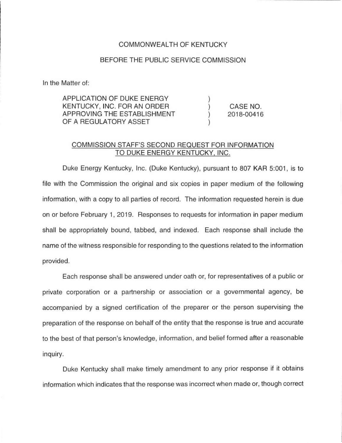## COMMONWEALTH OF KENTUCKY

## BEFORE THE PUBLIC SERVICE COMMISSION

In the Matter of:

| APPLICATION OF DUKE ENERGY  |            |
|-----------------------------|------------|
| KENTUCKY, INC. FOR AN ORDER | CASE NO.   |
| APPROVING THE ESTABLISHMENT | 2018-00416 |
| OF A REGULATORY ASSET       |            |

## COMMISSION STAFF'S SECOND REQUEST FOR INFORMATION TO DUKE ENERGY KENTUCKY, INC.

Duke Energy Kentucky, Inc. (Duke Kentucky), pursuant to 807 KAR 5:001, is to file with the Commission the original and six copies in paper medium of the following information, with a copy to all parties of record. The information requested herein is due on or before February 1, 2019. Responses to requests for information in paper medium shall be appropriately bound, tabbed, and indexed. Each response shall include the name of the witness responsible for responding to the questions related to the information provided.

Each response shall be answered under oath or, for representatives of a public or private corporation or a partnership or association or a governmental agency, be accompanied by a signed certification of the preparer or the person supervising the preparation of the response on behalf of the entity that the response is true and accurate to the best of that person's knowledge, information, and belief formed after a reasonable inquiry.

Duke Kentucky shall make timely amendment to any prior response if it obtains information which indicates that the response was incorrect when made or, though correct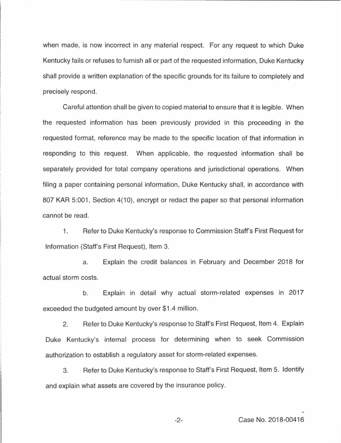when made, is now incorrect in any material respect. For any request to which Duke Kentucky fails or refuses to furnish all or part of the requested information, Duke Kentucky shall provide a written explanation of the specific grounds for its failure to completely and precisely respond.

Careful attention shall be given to copied material to ensure that it is legible. When the requested information has been previously provided in this proceeding in the requested format, reference may be made to the specific location of that information in responding to this request. When applicable, the requested information shall be separately provided for total company operations and jurisdictional operations. When filing a paper containing personal information, Duke Kentucky shall, in accordance with 807 KAR 5:001, Section 4(10), encrypt or redact the paper so that personal information cannot be read.

1. Refer to Duke Kentucky's response to Commission Staff's First Request for Information (Staff's First Request), Item 3.

a. Explain the credit balances in February and December 2018 for actual storm costs.

b. Explain in detail why actual storm-related expenses in 2017 exceeded the budgeted amount by over \$1.4 million.

2. Refer to Duke Kentucky's response to Staff's First Request, Item 4. Explain Duke Kentucky's internal process for determining when to seek Commission authorization to establish a regulatory asset for storm-related expenses.

3. Refer to Duke Kentucky's response to Staff's First Request, Item 5. Identify and explain what assets are covered by the insurance policy.

-2- Case No. 2018-00416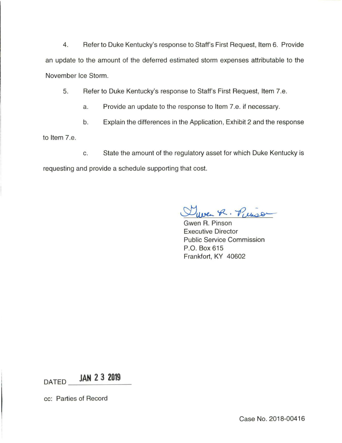4. Refer to Duke Kentucky's response to Staff's First Request, Item 6. Provide an update to the amount of the deferred estimated storm expenses attributable to the November Ice Storm.

5. Refer to Duke Kentucky's response to Staff's First Request, Item 7.e.

- a. Provide an update to the response to Item 7.e. if necessary.
- b. Explain the differences in the Application, Exhibit 2 and the response

to Item 7.e.

c. State the amount of the regulatory asset for which Duke Kentucky is requesting and provide a schedule supporting that cost.

ver R. Pierson

Gwen R. Pinson Executive Director Public Service Commission P.O. Box 615 Frankfort, KY 40602

 $DATA$  **JAN 2 3 2019** 

cc: Parties of Record